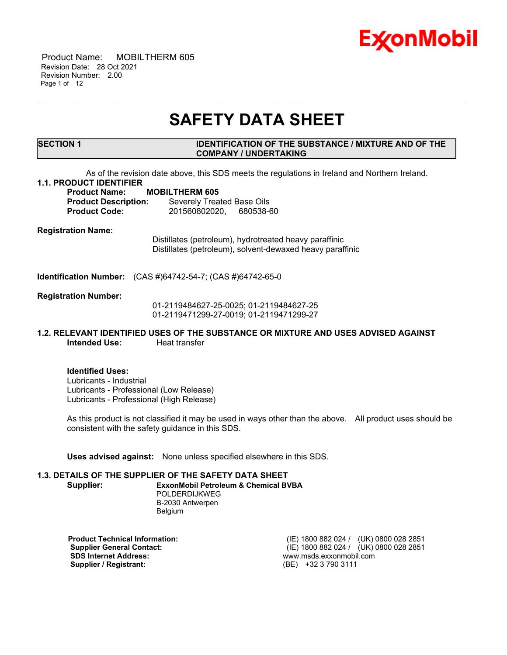

 Product Name: MOBILTHERM 605 Revision Date: 28 Oct 2021 Revision Number: 2.00 Page 1 of 12

# **SAFETY DATA SHEET**

\_\_\_\_\_\_\_\_\_\_\_\_\_\_\_\_\_\_\_\_\_\_\_\_\_\_\_\_\_\_\_\_\_\_\_\_\_\_\_\_\_\_\_\_\_\_\_\_\_\_\_\_\_\_\_\_\_\_\_\_\_\_\_\_\_\_\_\_\_\_\_\_\_\_\_\_\_\_\_\_\_\_\_\_\_\_\_\_\_\_\_\_\_\_\_\_\_\_\_\_\_\_\_\_\_\_\_\_\_\_\_\_\_\_\_\_\_

#### **SECTION 1 IDENTIFICATION OF THE SUBSTANCE / MIXTURE AND OF THE COMPANY / UNDERTAKING**

As of the revision date above, this SDS meets the regulations in Ireland and Northern Ireland.

# **1.1. PRODUCT IDENTIFIER**

**Product Name: MOBILTHERM 605 Product Description:** Severely Treated Base Oils **Product Code:** 201560802020, 680538-60

**Registration Name:**

Distillates (petroleum), hydrotreated heavy paraffinic Distillates (petroleum), solvent-dewaxed heavy paraffinic

**Identification Number:** (CAS #)64742-54-7; (CAS #)64742-65-0

#### **Registration Number:**

01-2119484627-25-0025; 01-2119484627-25 01-2119471299-27-0019; 01-2119471299-27

# **1.2. RELEVANT IDENTIFIED USES OF THE SUBSTANCE OR MIXTURE AND USES ADVISED AGAINST Intended Use:** Heat transfer

**Identified Uses:** Lubricants - Industrial Lubricants - Professional (Low Release) Lubricants - Professional (High Release)

As this product is not classified it may be used in ways other than the above. All product uses should be consistent with the safety guidance in this SDS.

**Uses advised against:** None unless specified elsewhere in this SDS.

## **1.3. DETAILS OF THE SUPPLIER OF THE SAFETY DATA SHEET**

**Supplier: ExxonMobil Petroleum & Chemical BVBA** POLDERDIJKWEG

B-2030 Antwerpen Belgium

**SDS Internet Address:** www.msds.exxonmobil.com **Supplier / Registrant:** 

**Product Technical Information:** (IE) 1800 882 024 / (UK) 0800 028 2851 **Supplier General Contact:** (IE) 1800 882 024 / (UK) 0800 028 2851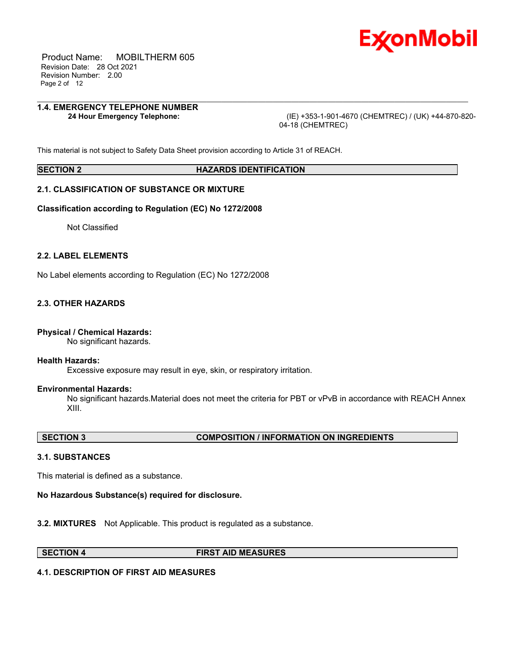

 Product Name: MOBILTHERM 605 Revision Date: 28 Oct 2021 Revision Number: 2.00 Page 2 of 12

# **1.4. EMERGENCY TELEPHONE NUMBER**

**24 Hour Emergency Telephone:** (IE) +353-1-901-4670 (CHEMTREC) / (UK) +44-870-820- 04-18 (CHEMTREC)

This material is not subject to Safety Data Sheet provision according to Article 31 of REACH.

#### **SECTION 2 HAZARDS IDENTIFICATION**

\_\_\_\_\_\_\_\_\_\_\_\_\_\_\_\_\_\_\_\_\_\_\_\_\_\_\_\_\_\_\_\_\_\_\_\_\_\_\_\_\_\_\_\_\_\_\_\_\_\_\_\_\_\_\_\_\_\_\_\_\_\_\_\_\_\_\_\_\_\_\_\_\_\_\_\_\_\_\_\_\_\_\_\_\_\_\_\_\_\_\_\_\_\_\_\_\_\_\_\_\_\_\_\_\_\_\_\_\_\_\_\_\_\_\_\_\_

# **2.1. CLASSIFICATION OF SUBSTANCE OR MIXTURE**

#### **Classification according to Regulation (EC) No 1272/2008**

Not Classified

# **2.2. LABEL ELEMENTS**

No Label elements according to Regulation (EC) No 1272/2008

# **2.3. OTHER HAZARDS**

## **Physical / Chemical Hazards:**

No significant hazards.

#### **Health Hazards:**

Excessive exposure may result in eye, skin, or respiratory irritation.

## **Environmental Hazards:**

No significant hazards.Material does not meet the criteria for PBT or vPvB in accordance with REACH Annex XIII.

## **SECTION 3 COMPOSITION / INFORMATION ON INGREDIENTS**

## **3.1. SUBSTANCES**

This material is defined as a substance.

## **No Hazardous Substance(s) required for disclosure.**

**3.2. MIXTURES** Not Applicable. This product is regulated as a substance.

#### **SECTION 4 FIRST AID MEASURES**

## **4.1. DESCRIPTION OF FIRST AID MEASURES**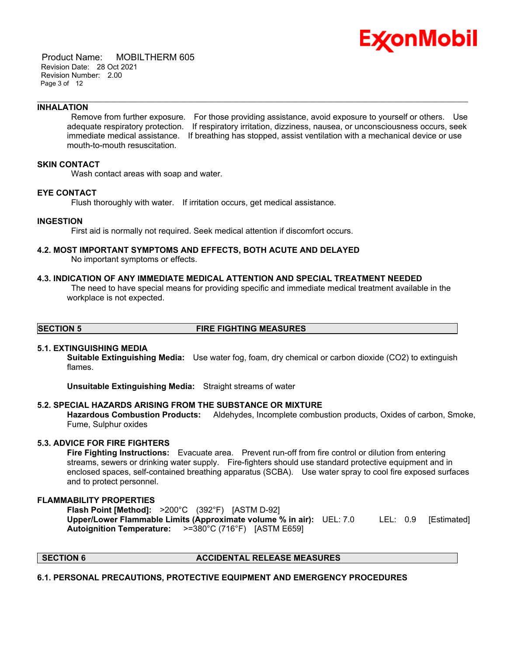

 Product Name: MOBILTHERM 605 Revision Date: 28 Oct 2021 Revision Number: 2.00 Page 3 of 12

#### **INHALATION**

Remove from further exposure. For those providing assistance, avoid exposure to yourself or others. Use adequate respiratory protection. If respiratory irritation, dizziness, nausea, or unconsciousness occurs, seek immediate medical assistance. If breathing has stopped, assist ventilation with a mechanical device or use mouth-to-mouth resuscitation.

\_\_\_\_\_\_\_\_\_\_\_\_\_\_\_\_\_\_\_\_\_\_\_\_\_\_\_\_\_\_\_\_\_\_\_\_\_\_\_\_\_\_\_\_\_\_\_\_\_\_\_\_\_\_\_\_\_\_\_\_\_\_\_\_\_\_\_\_\_\_\_\_\_\_\_\_\_\_\_\_\_\_\_\_\_\_\_\_\_\_\_\_\_\_\_\_\_\_\_\_\_\_\_\_\_\_\_\_\_\_\_\_\_\_\_\_\_

# **SKIN CONTACT**

Wash contact areas with soap and water.

#### **EYE CONTACT**

Flush thoroughly with water. If irritation occurs, get medical assistance.

#### **INGESTION**

First aid is normally not required. Seek medical attention if discomfort occurs.

# **4.2. MOST IMPORTANT SYMPTOMS AND EFFECTS, BOTH ACUTE AND DELAYED**

No important symptoms or effects.

# **4.3. INDICATION OF ANY IMMEDIATE MEDICAL ATTENTION AND SPECIAL TREATMENT NEEDED**

The need to have special means for providing specific and immediate medical treatment available in the workplace is not expected.

# **SECTION 5 FIRE FIGHTING MEASURES**

#### **5.1. EXTINGUISHING MEDIA**

**Suitable Extinguishing Media:** Use water fog, foam, dry chemical or carbon dioxide (CO2) to extinguish flames.

**Unsuitable Extinguishing Media:** Straight streams of water

## **5.2. SPECIAL HAZARDS ARISING FROM THE SUBSTANCE OR MIXTURE**

**Hazardous Combustion Products:** Aldehydes, Incomplete combustion products, Oxides of carbon, Smoke, Fume, Sulphur oxides

# **5.3. ADVICE FOR FIRE FIGHTERS**

**Fire Fighting Instructions:** Evacuate area. Prevent run-off from fire control or dilution from entering streams, sewers or drinking water supply. Fire-fighters should use standard protective equipment and in enclosed spaces, self-contained breathing apparatus (SCBA). Use water spray to cool fire exposed surfaces and to protect personnel.

#### **FLAMMABILITY PROPERTIES**

**Flash Point [Method]:** >200°C (392°F) [ASTM D-92] **Upper/Lower Flammable Limits (Approximate volume % in air):** UEL: 7.0 LEL: 0.9 [Estimated] **Autoignition Temperature:** >=380°C (716°F) [ASTM E659]

# **SECTION 6 ACCIDENTAL RELEASE MEASURES**

## **6.1. PERSONAL PRECAUTIONS, PROTECTIVE EQUIPMENT AND EMERGENCY PROCEDURES**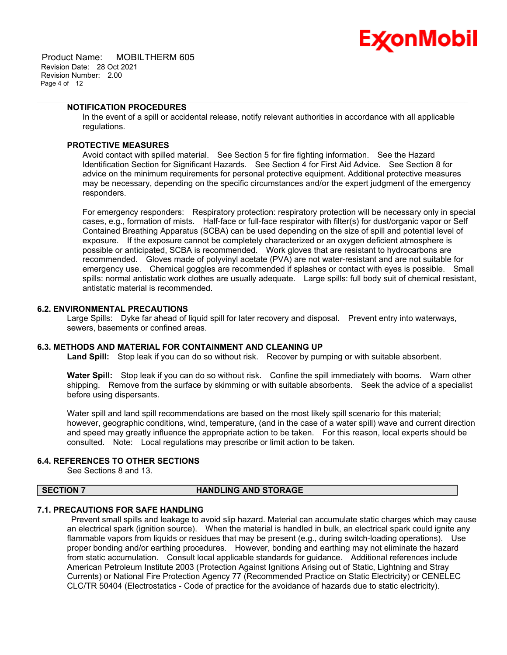

 Product Name: MOBILTHERM 605 Revision Date: 28 Oct 2021 Revision Number: 2.00 Page 4 of 12

# **NOTIFICATION PROCEDURES**

In the event of a spill or accidental release, notify relevant authorities in accordance with all applicable regulations.

\_\_\_\_\_\_\_\_\_\_\_\_\_\_\_\_\_\_\_\_\_\_\_\_\_\_\_\_\_\_\_\_\_\_\_\_\_\_\_\_\_\_\_\_\_\_\_\_\_\_\_\_\_\_\_\_\_\_\_\_\_\_\_\_\_\_\_\_\_\_\_\_\_\_\_\_\_\_\_\_\_\_\_\_\_\_\_\_\_\_\_\_\_\_\_\_\_\_\_\_\_\_\_\_\_\_\_\_\_\_\_\_\_\_\_\_\_

# **PROTECTIVE MEASURES**

Avoid contact with spilled material. See Section 5 for fire fighting information. See the Hazard Identification Section for Significant Hazards. See Section 4 for First Aid Advice. See Section 8 for advice on the minimum requirements for personal protective equipment. Additional protective measures may be necessary, depending on the specific circumstances and/or the expert judgment of the emergency responders.

For emergency responders: Respiratory protection: respiratory protection will be necessary only in special cases, e.g., formation of mists. Half-face or full-face respirator with filter(s) for dust/organic vapor or Self Contained Breathing Apparatus (SCBA) can be used depending on the size of spill and potential level of exposure. If the exposure cannot be completely characterized or an oxygen deficient atmosphere is possible or anticipated, SCBA is recommended. Work gloves that are resistant to hydrocarbons are recommended. Gloves made of polyvinyl acetate (PVA) are not water-resistant and are not suitable for emergency use. Chemical goggles are recommended if splashes or contact with eyes is possible. Small spills: normal antistatic work clothes are usually adequate. Large spills: full body suit of chemical resistant, antistatic material is recommended.

# **6.2. ENVIRONMENTAL PRECAUTIONS**

Large Spills: Dyke far ahead of liquid spill for later recovery and disposal. Prevent entry into waterways, sewers, basements or confined areas.

#### **6.3. METHODS AND MATERIAL FOR CONTAINMENT AND CLEANING UP**

**Land Spill:** Stop leak if you can do so without risk. Recover by pumping or with suitable absorbent.

**Water Spill:** Stop leak if you can do so without risk. Confine the spill immediately with booms. Warn other shipping. Remove from the surface by skimming or with suitable absorbents. Seek the advice of a specialist before using dispersants.

Water spill and land spill recommendations are based on the most likely spill scenario for this material; however, geographic conditions, wind, temperature, (and in the case of a water spill) wave and current direction and speed may greatly influence the appropriate action to be taken. For this reason, local experts should be consulted. Note: Local regulations may prescribe or limit action to be taken.

#### **6.4. REFERENCES TO OTHER SECTIONS**

See Sections 8 and 13.

# **SECTION 7 HANDLING AND STORAGE**

# **7.1. PRECAUTIONS FOR SAFE HANDLING**

Prevent small spills and leakage to avoid slip hazard. Material can accumulate static charges which may cause an electrical spark (ignition source). When the material is handled in bulk, an electrical spark could ignite any flammable vapors from liquids or residues that may be present (e.g., during switch-loading operations). Use proper bonding and/or earthing procedures. However, bonding and earthing may not eliminate the hazard from static accumulation. Consult local applicable standards for guidance. Additional references include American Petroleum Institute 2003 (Protection Against Ignitions Arising out of Static, Lightning and Stray Currents) or National Fire Protection Agency 77 (Recommended Practice on Static Electricity) or CENELEC CLC/TR 50404 (Electrostatics - Code of practice for the avoidance of hazards due to static electricity).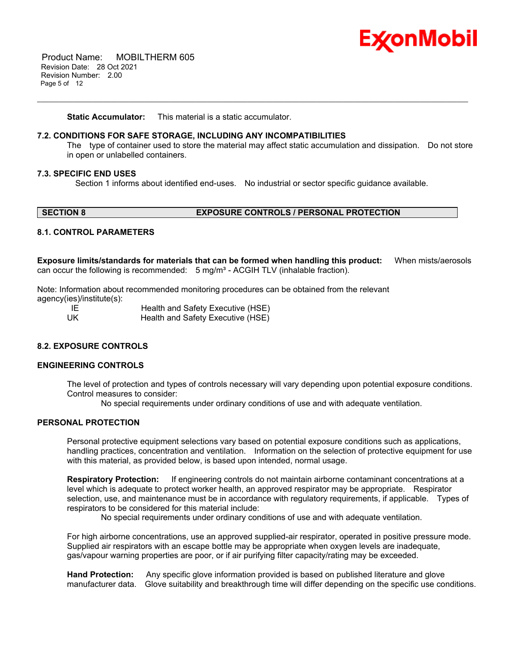

 Product Name: MOBILTHERM 605 Revision Date: 28 Oct 2021 Revision Number: 2.00 Page 5 of 12

**Static Accumulator:** This material is a static accumulator.

## **7.2. CONDITIONS FOR SAFE STORAGE, INCLUDING ANY INCOMPATIBILITIES**

The type of container used to store the material may affect static accumulation and dissipation. Do not store in open or unlabelled containers.

#### **7.3. SPECIFIC END USES**

Section 1 informs about identified end-uses. No industrial or sector specific guidance available.

\_\_\_\_\_\_\_\_\_\_\_\_\_\_\_\_\_\_\_\_\_\_\_\_\_\_\_\_\_\_\_\_\_\_\_\_\_\_\_\_\_\_\_\_\_\_\_\_\_\_\_\_\_\_\_\_\_\_\_\_\_\_\_\_\_\_\_\_\_\_\_\_\_\_\_\_\_\_\_\_\_\_\_\_\_\_\_\_\_\_\_\_\_\_\_\_\_\_\_\_\_\_\_\_\_\_\_\_\_\_\_\_\_\_\_\_\_

## **SECTION 8 EXPOSURE CONTROLS / PERSONAL PROTECTION**

# **8.1. CONTROL PARAMETERS**

**Exposure limits/standards for materials that can be formed when handling this product:** When mists/aerosols can occur the following is recommended:  $5 \text{ mg/m}^3$  - ACGIH TLV (inhalable fraction).

Note: Information about recommended monitoring procedures can be obtained from the relevant agency(ies)/institute(s):

| - IE | Health and Safety Executive (HSE) |  |
|------|-----------------------------------|--|
| UK   | Health and Safety Executive (HSE) |  |

# **8.2. EXPOSURE CONTROLS**

## **ENGINEERING CONTROLS**

The level of protection and types of controls necessary will vary depending upon potential exposure conditions. Control measures to consider:

No special requirements under ordinary conditions of use and with adequate ventilation.

# **PERSONAL PROTECTION**

Personal protective equipment selections vary based on potential exposure conditions such as applications, handling practices, concentration and ventilation. Information on the selection of protective equipment for use with this material, as provided below, is based upon intended, normal usage.

**Respiratory Protection:** If engineering controls do not maintain airborne contaminant concentrations at a level which is adequate to protect worker health, an approved respirator may be appropriate. Respirator selection, use, and maintenance must be in accordance with regulatory requirements, if applicable. Types of respirators to be considered for this material include:

No special requirements under ordinary conditions of use and with adequate ventilation.

For high airborne concentrations, use an approved supplied-air respirator, operated in positive pressure mode. Supplied air respirators with an escape bottle may be appropriate when oxygen levels are inadequate, gas/vapour warning properties are poor, or if air purifying filter capacity/rating may be exceeded.

**Hand Protection:** Any specific glove information provided is based on published literature and glove manufacturer data. Glove suitability and breakthrough time will differ depending on the specific use conditions.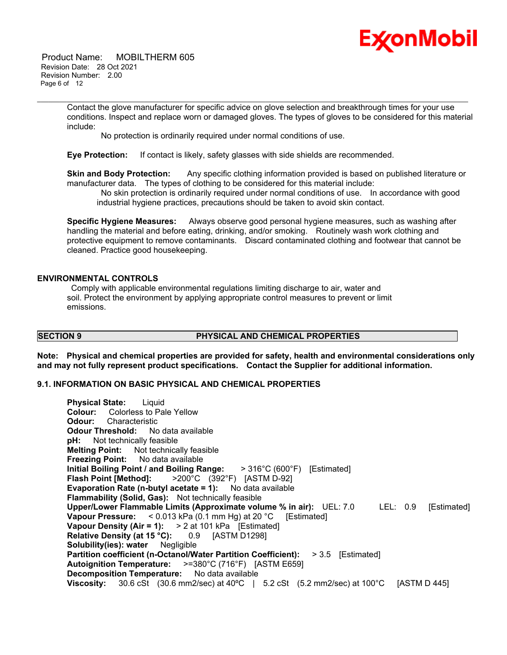

 Product Name: MOBILTHERM 605 Revision Date: 28 Oct 2021 Revision Number: 2.00 Page 6 of 12

> Contact the glove manufacturer for specific advice on glove selection and breakthrough times for your use conditions. Inspect and replace worn or damaged gloves. The types of gloves to be considered for this material include:

\_\_\_\_\_\_\_\_\_\_\_\_\_\_\_\_\_\_\_\_\_\_\_\_\_\_\_\_\_\_\_\_\_\_\_\_\_\_\_\_\_\_\_\_\_\_\_\_\_\_\_\_\_\_\_\_\_\_\_\_\_\_\_\_\_\_\_\_\_\_\_\_\_\_\_\_\_\_\_\_\_\_\_\_\_\_\_\_\_\_\_\_\_\_\_\_\_\_\_\_\_\_\_\_\_\_\_\_\_\_\_\_\_\_\_\_\_

No protection is ordinarily required under normal conditions of use.

**Eye Protection:** If contact is likely, safety glasses with side shields are recommended.

**Skin and Body Protection:** Any specific clothing information provided is based on published literature or manufacturer data. The types of clothing to be considered for this material include:

No skin protection is ordinarily required under normal conditions of use. In accordance with good industrial hygiene practices, precautions should be taken to avoid skin contact.

**Specific Hygiene Measures:** Always observe good personal hygiene measures, such as washing after handling the material and before eating, drinking, and/or smoking. Routinely wash work clothing and protective equipment to remove contaminants. Discard contaminated clothing and footwear that cannot be cleaned. Practice good housekeeping.

#### **ENVIRONMENTAL CONTROLS**

Comply with applicable environmental regulations limiting discharge to air, water and soil. Protect the environment by applying appropriate control measures to prevent or limit emissions.

# **SECTION 9 PHYSICAL AND CHEMICAL PROPERTIES**

**Note: Physical and chemical properties are provided for safety, health and environmental considerations only and may not fully represent product specifications. Contact the Supplier for additional information.**

## **9.1. INFORMATION ON BASIC PHYSICAL AND CHEMICAL PROPERTIES**

**Physical State:** Liquid **Colour:** Colorless to Pale Yellow **Odour:** Characteristic **Odour Threshold:** No data available **pH:** Not technically feasible **Melting Point:** Not technically feasible **Freezing Point:** No data available **Initial Boiling Point / and Boiling Range:** > 316°C (600°F) [Estimated] **Flash Point [Method]:** >200°C (392°F) [ASTM D-92] **Evaporation Rate (n-butyl acetate = 1):** No data available **Flammability (Solid, Gas):** Not technically feasible **Upper/Lower Flammable Limits (Approximate volume % in air):** UEL: 7.0 LEL: 0.9 [Estimated] **Vapour Pressure:** < 0.013 kPa (0.1 mm Hg) at 20 °C [Estimated] **Vapour Density (Air = 1):** > 2 at 101 kPa [Estimated] **Relative Density (at 15 °C):** 0.9 [ASTM D1298] **Solubility(ies): water** Negligible **Partition coefficient (n-Octanol/Water Partition Coefficient):** > 3.5 [Estimated] **Autoignition Temperature:** >=380°C (716°F) [ASTM E659] **Decomposition Temperature:** No data available **Viscosity:** 30.6 cSt (30.6 mm2/sec) at 40ºC | 5.2 cSt (5.2 mm2/sec) at 100°C [ASTM D 445]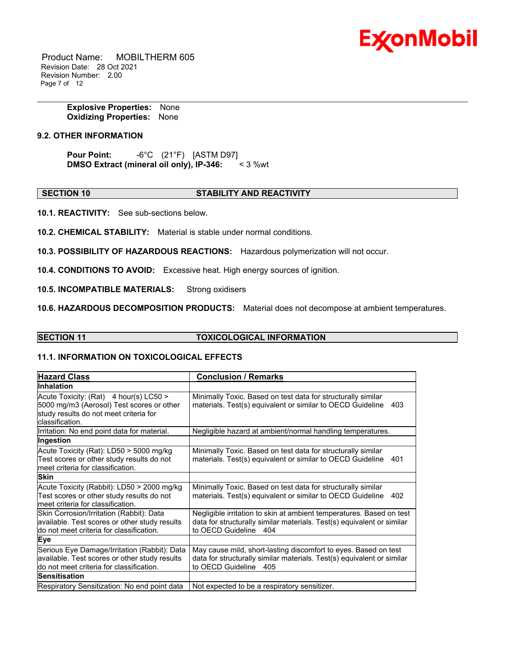

 Product Name: MOBILTHERM 605 Revision Date: 28 Oct 2021 Revision Number: 2.00 Page 7 of 12

> **Explosive Properties:** None **Oxidizing Properties:** None

# **9.2. OTHER INFORMATION**

**Pour Point:** -6°C (21°F) [ASTM D97] **DMSO Extract (mineral oil only), IP-346:** < 3 %wt

#### **SECTION 10 STABILITY AND REACTIVITY**

\_\_\_\_\_\_\_\_\_\_\_\_\_\_\_\_\_\_\_\_\_\_\_\_\_\_\_\_\_\_\_\_\_\_\_\_\_\_\_\_\_\_\_\_\_\_\_\_\_\_\_\_\_\_\_\_\_\_\_\_\_\_\_\_\_\_\_\_\_\_\_\_\_\_\_\_\_\_\_\_\_\_\_\_\_\_\_\_\_\_\_\_\_\_\_\_\_\_\_\_\_\_\_\_\_\_\_\_\_\_\_\_\_\_\_\_\_

**10.1. REACTIVITY:** See sub-sections below.

**10.2. CHEMICAL STABILITY:** Material is stable under normal conditions.

**10.3. POSSIBILITY OF HAZARDOUS REACTIONS:** Hazardous polymerization will not occur.

**10.4. CONDITIONS TO AVOID:** Excessive heat. High energy sources of ignition.

**10.5. INCOMPATIBLE MATERIALS:** Strong oxidisers

**10.6. HAZARDOUS DECOMPOSITION PRODUCTS:** Material does not decompose at ambient temperatures.

## **SECTION 11 TOXICOLOGICAL INFORMATION**

# **11.1. INFORMATION ON TOXICOLOGICAL EFFECTS**

| <b>Hazard Class</b>                                                                                                                              | <b>Conclusion / Remarks</b>                                                                                                                                                |  |
|--------------------------------------------------------------------------------------------------------------------------------------------------|----------------------------------------------------------------------------------------------------------------------------------------------------------------------------|--|
| <b>Inhalation</b>                                                                                                                                |                                                                                                                                                                            |  |
| Acute Toxicity: (Rat) 4 hour(s) LC50 ><br>5000 mg/m3 (Aerosol) Test scores or other<br>study results do not meet criteria for<br>classification. | Minimally Toxic. Based on test data for structurally similar<br>materials. Test(s) equivalent or similar to OECD Guideline<br>403                                          |  |
| Irritation: No end point data for material.                                                                                                      | Negligible hazard at ambient/normal handling temperatures.                                                                                                                 |  |
| Ingestion                                                                                                                                        |                                                                                                                                                                            |  |
| Acute Toxicity (Rat): LD50 > 5000 mg/kg<br>Test scores or other study results do not<br>meet criteria for classification.                        | Minimally Toxic. Based on test data for structurally similar<br>materials. Test(s) equivalent or similar to OECD Guideline<br>401                                          |  |
| <b>Skin</b>                                                                                                                                      |                                                                                                                                                                            |  |
| Acute Toxicity (Rabbit): LD50 > 2000 mg/kg<br>Test scores or other study results do not<br>meet criteria for classification.                     | Minimally Toxic. Based on test data for structurally similar<br>materials. Test(s) equivalent or similar to OECD Guideline<br>402                                          |  |
| Skin Corrosion/Irritation (Rabbit): Data<br>available. Test scores or other study results<br>do not meet criteria for classification.            | Negligible irritation to skin at ambient temperatures. Based on test<br>data for structurally similar materials. Test(s) equivalent or similar<br>to OECD Guideline<br>404 |  |
| <b>Eye</b>                                                                                                                                       |                                                                                                                                                                            |  |
| Serious Eye Damage/Irritation (Rabbit): Data<br>available. Test scores or other study results<br>do not meet criteria for classification.        | May cause mild, short-lasting discomfort to eyes. Based on test<br>data for structurally similar materials. Test(s) equivalent or similar<br>to OECD Guideline 405         |  |
| Sensitisation                                                                                                                                    |                                                                                                                                                                            |  |
| Respiratory Sensitization: No end point data                                                                                                     | Not expected to be a respiratory sensitizer.                                                                                                                               |  |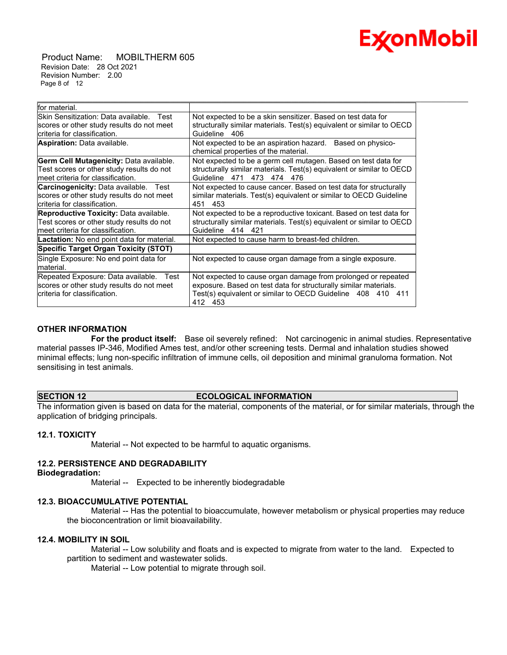

 Product Name: MOBILTHERM 605 Revision Date: 28 Oct 2021 Revision Number: 2.00 Page 8 of 12

| lfor material.                                    |                                                                        |
|---------------------------------------------------|------------------------------------------------------------------------|
| lSkin Sensitization: Data available.<br>Test      | Not expected to be a skin sensitizer. Based on test data for           |
| scores or other study results do not meet         | structurally similar materials. Test(s) equivalent or similar to OECD  |
| lcriteria for classification.                     | Guideline<br>406                                                       |
| <b>Aspiration: Data available.</b>                | Not expected to be an aspiration hazard.<br>Based on physico-          |
|                                                   | chemical properties of the material.                                   |
| Germ Cell Mutagenicity: Data available.           | Not expected to be a germ cell mutagen. Based on test data for         |
| Test scores or other study results do not         | structurally similar materials. Test(s) equivalent or similar to OECD  |
| lmeet criteria for classification.                | Guideline<br>473 474 476<br>471                                        |
| <b>Carcinogenicity:</b> Data available. Test      | Not expected to cause cancer. Based on test data for structurally      |
| scores or other study results do not meet         | similar materials. Test(s) equivalent or similar to OECD Guideline     |
| Icriteria for classification.                     | 453<br>451                                                             |
| <b>Reproductive Toxicity: Data available.</b>     | Not expected to be a reproductive toxicant. Based on test data for     |
| Test scores or other study results do not         | structurally similar materials. Test(s) equivalent or similar to OECD  |
| Imeet criteria for classification.                | 414 421<br>Guideline                                                   |
| <b>Lactation:</b> No end point data for material. | Not expected to cause harm to breast-fed children.                     |
| <b>Specific Target Organ Toxicity (STOT)</b>      |                                                                        |
| Single Exposure: No end point data for            | Not expected to cause organ damage from a single exposure.             |
| material.                                         |                                                                        |
| Repeated Exposure: Data available.<br>Test        | Not expected to cause organ damage from prolonged or repeated          |
| scores or other study results do not meet         | exposure. Based on test data for structurally similar materials.       |
| Icriteria for classification.                     | Test(s) equivalent or similar to OECD Guideline 408 410 411<br>412 453 |

\_\_\_\_\_\_\_\_\_\_\_\_\_\_\_\_\_\_\_\_\_\_\_\_\_\_\_\_\_\_\_\_\_\_\_\_\_\_\_\_\_\_\_\_\_\_\_\_\_\_\_\_\_\_\_\_\_\_\_\_\_\_\_\_\_\_\_\_\_\_\_\_\_\_\_\_\_\_\_\_\_\_\_\_\_\_\_\_\_\_\_\_\_\_\_\_\_\_\_\_\_\_\_\_\_\_\_\_\_\_\_\_\_\_\_\_\_

# **OTHER INFORMATION**

 **For the product itself:** Base oil severely refined: Not carcinogenic in animal studies. Representative material passes IP-346, Modified Ames test, and/or other screening tests. Dermal and inhalation studies showed minimal effects; lung non-specific infiltration of immune cells, oil deposition and minimal granuloma formation. Not sensitising in test animals.

## **SECTION 12 ECOLOGICAL INFORMATION**

The information given is based on data for the material, components of the material, or for similar materials, through the application of bridging principals.

## **12.1. TOXICITY**

Material -- Not expected to be harmful to aquatic organisms.

## **12.2. PERSISTENCE AND DEGRADABILITY**

**Biodegradation:**

Material -- Expected to be inherently biodegradable

#### **12.3. BIOACCUMULATIVE POTENTIAL**

 Material -- Has the potential to bioaccumulate, however metabolism or physical properties may reduce the bioconcentration or limit bioavailability.

## **12.4. MOBILITY IN SOIL**

 Material -- Low solubility and floats and is expected to migrate from water to the land. Expected to partition to sediment and wastewater solids.

Material -- Low potential to migrate through soil.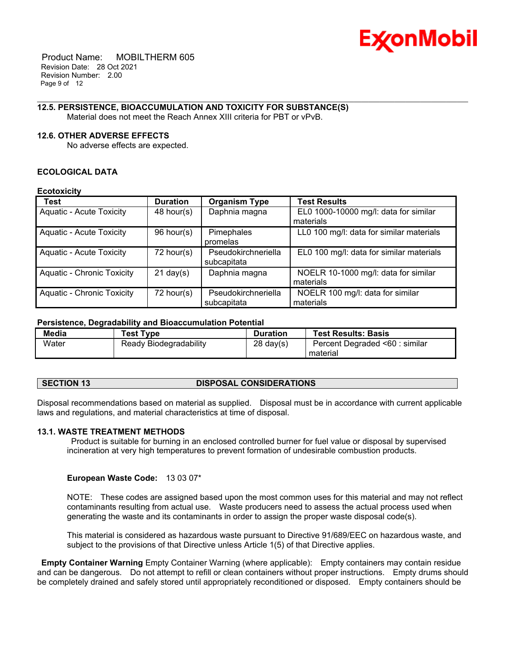

 Product Name: MOBILTHERM 605 Revision Date: 28 Oct 2021 Revision Number: 2.00 Page 9 of 12

#### \_\_\_\_\_\_\_\_\_\_\_\_\_\_\_\_\_\_\_\_\_\_\_\_\_\_\_\_\_\_\_\_\_\_\_\_\_\_\_\_\_\_\_\_\_\_\_\_\_\_\_\_\_\_\_\_\_\_\_\_\_\_\_\_\_\_\_\_\_\_\_\_\_\_\_\_\_\_\_\_\_\_\_\_\_\_\_\_\_\_\_\_\_\_\_\_\_\_\_\_\_\_\_\_\_\_\_\_\_\_\_\_\_\_\_\_\_ **12.5. PERSISTENCE, BIOACCUMULATION AND TOXICITY FOR SUBSTANCE(S)**

Material does not meet the Reach Annex XIII criteria for PBT or vPvB.

#### **12.6. OTHER ADVERSE EFFECTS**

No adverse effects are expected.

#### **ECOLOGICAL DATA**

#### **Ecotoxicity**

| <b>Test</b>                       | <b>Duration</b>     | <b>Organism Type</b>               | <b>Test Results</b>                                |
|-----------------------------------|---------------------|------------------------------------|----------------------------------------------------|
| <b>Aquatic - Acute Toxicity</b>   | 48 hour(s)          | Daphnia magna                      | EL0 1000-10000 mg/l: data for similar<br>materials |
| <b>Aquatic - Acute Toxicity</b>   | 96 hour(s)          | Pimephales<br>promelas             | LL0 100 mg/l: data for similar materials           |
| <b>Aquatic - Acute Toxicity</b>   | 72 hour(s)          | Pseudokirchneriella<br>subcapitata | EL0 100 mg/l: data for similar materials           |
| <b>Aquatic - Chronic Toxicity</b> | $21 \text{ day}(s)$ | Daphnia magna                      | NOELR 10-1000 mg/l: data for similar<br>materials  |
| <b>Aquatic - Chronic Toxicity</b> | $72$ hour(s)        | Pseudokirchneriella<br>subcapitata | NOELR 100 mg/l: data for similar<br>materials      |

# **Persistence, Degradability and Bioaccumulation Potential**

| Media | <b>Test Type</b>       | <b>Duration</b>     | <b>Test Results: Basis</b>     |
|-------|------------------------|---------------------|--------------------------------|
| Water | Ready Biodegradability | $28 \text{ day}(s)$ | Percent Degraded <60 : similar |
|       |                        |                     | material                       |

## **SECTION 13 DISPOSAL CONSIDERATIONS**

Disposal recommendations based on material as supplied. Disposal must be in accordance with current applicable laws and regulations, and material characteristics at time of disposal.

## **13.1. WASTE TREATMENT METHODS**

Product is suitable for burning in an enclosed controlled burner for fuel value or disposal by supervised incineration at very high temperatures to prevent formation of undesirable combustion products.

#### **European Waste Code:** 13 03 07\*

NOTE: These codes are assigned based upon the most common uses for this material and may not reflect contaminants resulting from actual use. Waste producers need to assess the actual process used when generating the waste and its contaminants in order to assign the proper waste disposal code(s).

This material is considered as hazardous waste pursuant to Directive 91/689/EEC on hazardous waste, and subject to the provisions of that Directive unless Article 1(5) of that Directive applies.

**Empty Container Warning** Empty Container Warning (where applicable): Empty containers may contain residue and can be dangerous. Do not attempt to refill or clean containers without proper instructions. Empty drums should be completely drained and safely stored until appropriately reconditioned or disposed. Empty containers should be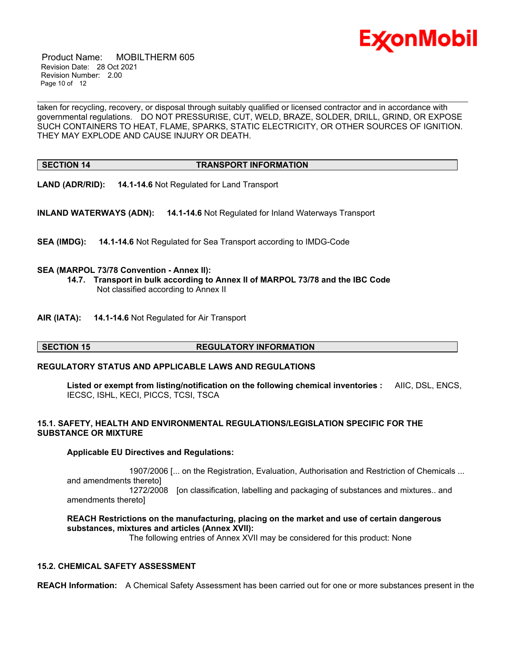

 Product Name: MOBILTHERM 605 Revision Date: 28 Oct 2021 Revision Number: 2.00 Page 10 of 12

taken for recycling, recovery, or disposal through suitably qualified or licensed contractor and in accordance with governmental regulations. DO NOT PRESSURISE, CUT, WELD, BRAZE, SOLDER, DRILL, GRIND, OR EXPOSE SUCH CONTAINERS TO HEAT, FLAME, SPARKS, STATIC ELECTRICITY, OR OTHER SOURCES OF IGNITION. THEY MAY EXPLODE AND CAUSE INJURY OR DEATH.

\_\_\_\_\_\_\_\_\_\_\_\_\_\_\_\_\_\_\_\_\_\_\_\_\_\_\_\_\_\_\_\_\_\_\_\_\_\_\_\_\_\_\_\_\_\_\_\_\_\_\_\_\_\_\_\_\_\_\_\_\_\_\_\_\_\_\_\_\_\_\_\_\_\_\_\_\_\_\_\_\_\_\_\_\_\_\_\_\_\_\_\_\_\_\_\_\_\_\_\_\_\_\_\_\_\_\_\_\_\_\_\_\_\_\_\_\_

#### **SECTION 14 TRANSPORT INFORMATION**

**LAND (ADR/RID): 14.1-14.6** Not Regulated for Land Transport

**INLAND WATERWAYS (ADN): 14.1-14.6** Not Regulated for Inland Waterways Transport

**SEA (IMDG): 14.1-14.6** Not Regulated for Sea Transport according to IMDG-Code

## **SEA (MARPOL 73/78 Convention - Annex II):**

- **14.7. Transport in bulk according to Annex II of MARPOL 73/78 and the IBC Code** Not classified according to Annex II
- **AIR (IATA): 14.1-14.6** Not Regulated for Air Transport

## **SECTION 15 REGULATORY INFORMATION**

## **REGULATORY STATUS AND APPLICABLE LAWS AND REGULATIONS**

**Listed or exempt from listing/notification on the following chemical inventories :** AIIC, DSL, ENCS, IECSC, ISHL, KECI, PICCS, TCSI, TSCA

# **15.1. SAFETY, HEALTH AND ENVIRONMENTAL REGULATIONS/LEGISLATION SPECIFIC FOR THE SUBSTANCE OR MIXTURE**

## **Applicable EU Directives and Regulations:**

 1907/2006 [... on the Registration, Evaluation, Authorisation and Restriction of Chemicals ... and amendments thereto] 1272/2008 [on classification, labelling and packaging of substances and mixtures.. and amendments thereto]

**REACH Restrictions on the manufacturing, placing on the market and use of certain dangerous substances, mixtures and articles (Annex XVII):**

The following entries of Annex XVII may be considered for this product: None

## **15.2. CHEMICAL SAFETY ASSESSMENT**

**REACH Information:** A Chemical Safety Assessment has been carried out for one or more substances present in the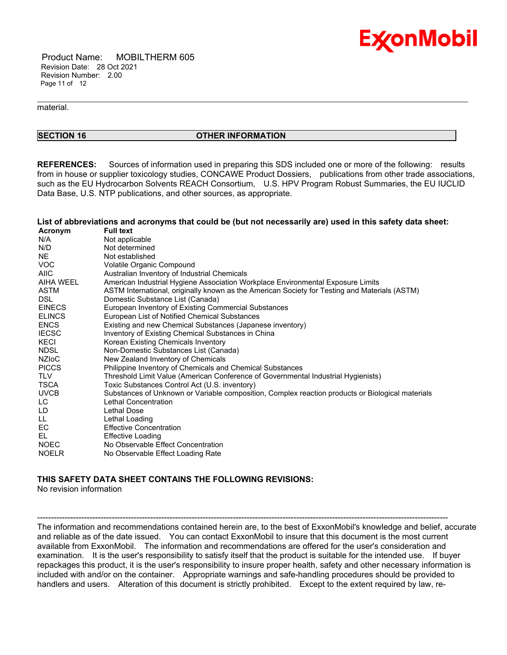

 Product Name: MOBILTHERM 605 Revision Date: 28 Oct 2021 Revision Number: 2.00 Page 11 of 12

material.

# **SECTION 16 OTHER INFORMATION**

\_\_\_\_\_\_\_\_\_\_\_\_\_\_\_\_\_\_\_\_\_\_\_\_\_\_\_\_\_\_\_\_\_\_\_\_\_\_\_\_\_\_\_\_\_\_\_\_\_\_\_\_\_\_\_\_\_\_\_\_\_\_\_\_\_\_\_\_\_\_\_\_\_\_\_\_\_\_\_\_\_\_\_\_\_\_\_\_\_\_\_\_\_\_\_\_\_\_\_\_\_\_\_\_\_\_\_\_\_\_\_\_\_\_\_\_\_

**REFERENCES:** Sources of information used in preparing this SDS included one or more of the following: results from in house or supplier toxicology studies, CONCAWE Product Dossiers, publications from other trade associations, such as the EU Hydrocarbon Solvents REACH Consortium, U.S. HPV Program Robust Summaries, the EU IUCLID Data Base, U.S. NTP publications, and other sources, as appropriate.

#### List of abbreviations and acronyms that could be (but not necessarily are) used in this safety data sheet:

| Acronym       | <b>Full text</b>                                                                                 |
|---------------|--------------------------------------------------------------------------------------------------|
| N/A           | Not applicable                                                                                   |
| N/D           | Not determined                                                                                   |
| NE            | Not established                                                                                  |
| VOC.          | Volatile Organic Compound                                                                        |
| <b>AIIC</b>   | Australian Inventory of Industrial Chemicals                                                     |
| AIHA WEEL     | American Industrial Hygiene Association Workplace Environmental Exposure Limits                  |
| ASTM          | ASTM International, originally known as the American Society for Testing and Materials (ASTM)    |
| DSL.          | Domestic Substance List (Canada)                                                                 |
| <b>EINECS</b> | European Inventory of Existing Commercial Substances                                             |
| <b>ELINCS</b> | European List of Notified Chemical Substances                                                    |
| <b>ENCS</b>   | Existing and new Chemical Substances (Japanese inventory)                                        |
| <b>IECSC</b>  | Inventory of Existing Chemical Substances in China                                               |
| KECI          | Korean Existing Chemicals Inventory                                                              |
| NDSL          | Non-Domestic Substances List (Canada)                                                            |
| <b>NZIOC</b>  | New Zealand Inventory of Chemicals                                                               |
| <b>PICCS</b>  | Philippine Inventory of Chemicals and Chemical Substances                                        |
| <b>TLV</b>    | Threshold Limit Value (American Conference of Governmental Industrial Hygienists)                |
| TSCA          | Toxic Substances Control Act (U.S. inventory)                                                    |
| <b>UVCB</b>   | Substances of Unknown or Variable composition, Complex reaction products or Biological materials |
| LC            | Lethal Concentration                                                                             |
| LD            | <b>Lethal Dose</b>                                                                               |
| LL.           | Lethal Loading                                                                                   |
| EC            | <b>Effective Concentration</b>                                                                   |
| EL.           | <b>Effective Loading</b>                                                                         |
| <b>NOEC</b>   | No Observable Effect Concentration                                                               |
| <b>NOELR</b>  | No Observable Effect Loading Rate                                                                |

# **THIS SAFETY DATA SHEET CONTAINS THE FOLLOWING REVISIONS:**

No revision information

The information and recommendations contained herein are, to the best of ExxonMobil's knowledge and belief, accurate and reliable as of the date issued. You can contact ExxonMobil to insure that this document is the most current available from ExxonMobil. The information and recommendations are offered for the user's consideration and examination. It is the user's responsibility to satisfy itself that the product is suitable for the intended use. If buyer repackages this product, it is the user's responsibility to insure proper health, safety and other necessary information is included with and/or on the container. Appropriate warnings and safe-handling procedures should be provided to handlers and users. Alteration of this document is strictly prohibited. Except to the extent required by law, re-

-----------------------------------------------------------------------------------------------------------------------------------------------------